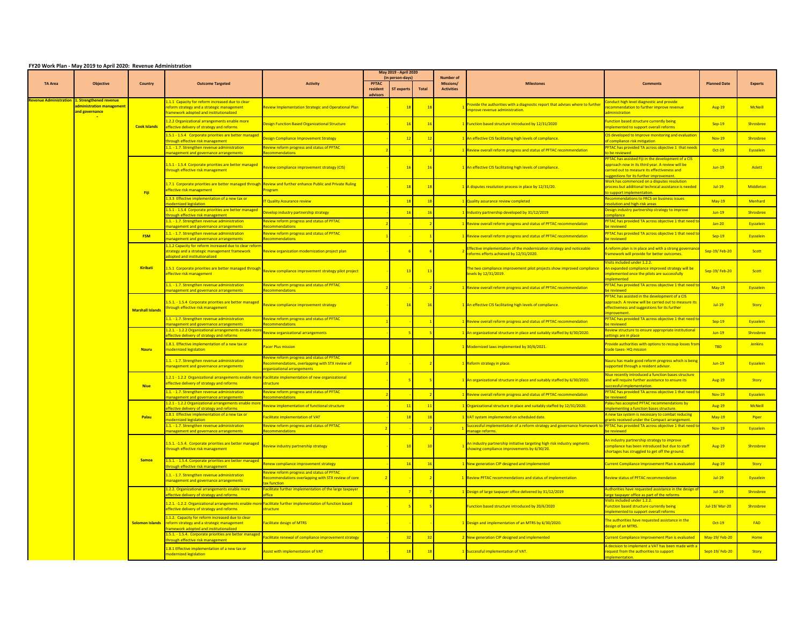|                              | FY20 Work Plan - May 2019 to April 2020: Revenue Administration       |                                         |                                                                                                                                               |                                                                                                                               |                               | <b>May 2019 - April 202</b>           |       |                                             |                                                                                                                         |                                                                                                                                                                                               |                       |                |
|------------------------------|-----------------------------------------------------------------------|-----------------------------------------|-----------------------------------------------------------------------------------------------------------------------------------------------|-------------------------------------------------------------------------------------------------------------------------------|-------------------------------|---------------------------------------|-------|---------------------------------------------|-------------------------------------------------------------------------------------------------------------------------|-----------------------------------------------------------------------------------------------------------------------------------------------------------------------------------------------|-----------------------|----------------|
| <b>TA Area</b>               | <b>Objective</b>                                                      | Country                                 | <b>Outcome Targeted</b>                                                                                                                       | <b>Activity</b>                                                                                                               | PFTAC<br>resident<br>advisors | (in person-days)<br><b>ST</b> experts | Total | Number of<br>Missions/<br><b>Activities</b> | <b>Milestones</b>                                                                                                       | <b>Comments</b>                                                                                                                                                                               | <b>Planned Date</b>   | <b>Experts</b> |
| <u>evenue Administration</u> | 1. Strengthened revenue<br>dministration management<br>and governance |                                         | .1.1 Capacity for reform increased due to clear<br>form strategy and a strategic management<br>amework adopted and institutionalized          | view Implementation Strategic and Operational Plan                                                                            |                               | 18                                    | 18    |                                             | rovide the authorities with a diagnostic report that advises where to further<br>nprove revenue administration          | onduct high level diagnostic and provide<br>commendation to further improve revenue<br>ninistration                                                                                           | <b>Aug-19</b>         | <b>McNeill</b> |
|                              |                                                                       | <b>Cook Islands</b>                     | .2.2 Organizational arrangements enable more<br><b>Fective delivery of strategy and reforms</b>                                               | esign Function Based Organizational Structure                                                                                 |                               | $-16$                                 |       |                                             | unction based structure introduced by 12/31/2020                                                                        | unction based structure currently being<br>plemented to support overall reforms                                                                                                               | <b>Sep-19</b>         | Shrosbree      |
|                              |                                                                       |                                         | 1.5.1 - 1.5.4 Corporate priorities are better managed<br>ough effective risk management                                                       | esign Compliance Improvement Strategy                                                                                         |                               | 12                                    | 12    |                                             | An effective CIS facilitating high levels of compliance.                                                                | IS developed to Improve monitoring and evaluation<br>f compliance risk mitigation                                                                                                             | $Nov-19$              | Shrosbree      |
|                              |                                                                       |                                         | .1. - 1.7. Strengthen revenue administration<br>nagement and governance arrangements                                                          | view reform progress and status of PFTAC<br>nmendations                                                                       |                               |                                       |       |                                             | Review overall reform progress and status of PFTAC recommendation                                                       | FTAC has provided TA across objective 1 that need<br>he reviewed                                                                                                                              | Oct-19                | Eysselein      |
|                              |                                                                       |                                         | 1.5.1 - 1.5.4 Corporate priorities are better managed<br>hrough effective risk management                                                     | view compliance improvement strategy (CIS)                                                                                    |                               | 16                                    | 16    |                                             | An effective CIS facilitating high levels of compliance.                                                                | TAC has assisted Fiji in the development of a CIS<br>pproach now in its third year. A review will be<br>arried out to measure its effectiveness and<br>ggestions for its further improvement. | $Jun-19$              | Aslett         |
|                              |                                                                       | Fiii                                    | 1.7.1 Corporate priorities are better managed through<br>effective risk management                                                            | Review and further enhance Public and Private Ruling<br>ogram                                                                 |                               | 18                                    | 18    |                                             | disputes resolution process in place by 12/31/20.                                                                       | ork has commenced on a disputes resolution<br>ocess but additional technical assistance is needer<br>support implementation.                                                                  | $Jul-19$              | Middleton      |
|                              |                                                                       |                                         | .3.3 Effective implementation of a new tax or                                                                                                 | <b>Cuality Assurance review</b>                                                                                               |                               | 18                                    | $-18$ |                                             | <b>Quality assurance review completed</b>                                                                               | ecommendations to FRCS on business issues<br><b>olution and high-risk areas</b>                                                                                                               | <b>May-19</b>         | Menhard        |
|                              |                                                                       |                                         | .5.1 - 1.5.4 Corporate priorities are better managed<br>ough effective risk management                                                        | evelop industry partnership strategy                                                                                          |                               | 16                                    | 16    |                                             | Industry partnership developed by 31/12/2019                                                                            | esign industry partnership strategy to improve<br>nnliance                                                                                                                                    | $Jun-19$              | Shrosbree      |
|                              |                                                                       |                                         | .1. - 1.7. Strengthen revenue administration<br>nt and governance arrangements                                                                | view reform progress and status of PFTAC<br>mendations                                                                        |                               |                                       |       |                                             | Review overall reform progress and status of PFTAC recommendation                                                       | TAC has provided TA across objective 1 that need                                                                                                                                              | $Jan-20$              | Eysselein      |
|                              |                                                                       | <b>FSM</b>                              | 1.1. - 1.7. Strengthen revenue administration<br><b>Inagement and governance arrangements</b>                                                 | eview reform progress and status of PFTAC<br>ommendations                                                                     |                               |                                       |       |                                             | <b>Review overall reform progress and status of PFTAC recommendation</b>                                                | <b>PFTAC has provided TA across objective 1 that need t</b><br><b>Previewed</b>                                                                                                               | Sep-19                | Eysselein      |
|                              |                                                                       | Kiribati                                | 1.1.2 Capacity for reform increased due to clear refo<br>trategy and a strategic management framework<br>herilenoitutitani has hetaoh         | eview organization modernization project plan                                                                                 |                               |                                       |       |                                             | ffective implementation of the modernization strategy and noticeable<br>forms efforts achieved by 12/31/2020.           | reform plan is in place and with a strong governar<br>amework will provide for better outcomes.                                                                                               | Sep-19/Feb-20         | Scott          |
|                              |                                                                       |                                         | 1.5.1 Corporate priorities are better managed through<br>ffective risk management                                                             | view compliance improvement strategy pilot project                                                                            |                               | 13                                    | 13    |                                             | he two compliance improvement pilot projects show improved compliance<br>vels by 12/31/2019                             | isits included under 1.2.2.<br>In expanded compliance improved strategy will be<br>mplemented once the pilots are successfully<br>emented                                                     | Sep-19/Feb-20         | Scott          |
|                              |                                                                       |                                         | .1. - 1.7. Strengthen revenue administration<br>ent and governance arrangement                                                                | eview reform progress and status of PFTAC<br>amondatio                                                                        |                               |                                       |       |                                             | Review overall reform progress and status of PFTAC recommendation                                                       | TAC has provided TA across objective 1 that need t<br><b><i><u>Environment</u></i></b>                                                                                                        | <b>May-19</b>         | Eysselein      |
|                              |                                                                       | <b>Marshall Islands</b><br><b>Nauru</b> | .5.1. - 1.5.4 Corporate priorities are better managed<br>hrough effective risk management                                                     | eview compliance improvement strategy                                                                                         |                               | 16                                    | 16    |                                             | An effective CIS facilitating high levels of compliance.                                                                | <b>FTAC</b> has assisted in the development of a CIS<br>pproach. A review will be carried out to measure its<br>fectiveness and suggestions for its further                                   | $ln1-19$              | <b>Story</b>   |
|                              |                                                                       |                                         | .1. - 1.7. Strengthen revenue administration                                                                                                  | eview reform progress and status of PFTAC                                                                                     |                               |                                       |       |                                             | Review overall reform progress and status of PFTAC recommendation                                                       | <b>FTAC has provided TA across objective 1 that need t</b>                                                                                                                                    | Sep-19                | Eysselein      |
|                              |                                                                       |                                         | .2.1. - 1.2.2 Organizational arrangements enable i<br>fective delivery of strategy and reforms                                                | eview organizational arrangements                                                                                             |                               |                                       |       |                                             | An organizational structure in place and suitably staffed by 6/30/2020                                                  | view structure to ensure appropriate institution<br>ttings are in place                                                                                                                       | $Jun-19$              | Shrosbree      |
|                              |                                                                       |                                         | .8.1. Effective implementation of a new tax or<br>nodernized legislation                                                                      | acer Plus mission                                                                                                             |                               |                                       |       |                                             | Modernized laws implemented by 30/6/2021.                                                                               | ovide authorities with options to recoup losses fro<br>ade taxes-HQ mission                                                                                                                   | <b>TRD</b>            | <b>Jenkins</b> |
|                              |                                                                       |                                         | .1. - 1.7. Strengthen revenue administration<br>nanagement and governance arrangements                                                        | view reform progress and status of PFTAC<br>commendations, overlapping with STX review of<br><b>Panizational arrangements</b> |                               |                                       |       |                                             | Reform strategy in place.                                                                                               | auru has made good reform progress which is being<br>upported through a resident advisor.                                                                                                     | $Jun-19$              | Eysselein      |
|                              |                                                                       | <b>Niue</b>                             | .2.1 - 1.2.2 Organizational arrangements enable mor<br>ffective delivery of strategy and reforms                                              | acilitate implementation of new organizational<br>ructure                                                                     |                               |                                       |       |                                             | An organizational structure in place and suitably staffed by 6/30/2020.                                                 | ue recently introduced a function bases structur<br>nd will require further assistance to ensure its<br><b>cessful implementation</b>                                                         | <b>Aug-19</b>         | Story          |
|                              |                                                                       |                                         | 1. - 1.7. Strengthen revenue administration<br>anagement and governance arrangements                                                          | eview reform progress and status of PFTAC<br>ommendations                                                                     |                               |                                       |       |                                             | Review overall reform progress and status of PFTAC recommendation                                                       | <mark>TAC has provided TA across objective 1 that need t</mark><br><b>houroins</b>                                                                                                            | <b>Nov-19</b>         | Eysselein      |
|                              |                                                                       |                                         | 2.1 - 1.2.2 Organizational arrangements enable mo<br>fective delivery of strategy and reforms                                                 | eview implementation of functional structure                                                                                  |                               | $-11$                                 | 11    |                                             | Organizational structure in place and suitably staffed by 12/31/2020.                                                   | <b>alau has accepted PFTAC recommendations by</b><br>plementing a function bases structure.                                                                                                   | <b>Aug-19</b>         | <b>McNeill</b> |
|                              |                                                                       | Palau                                   | .8.1 Effective implementation of a new tax or<br>ized legislation                                                                             | acilitate implementation of VAT                                                                                               |                               | 18                                    | 18    |                                             | VAT system implemented on scheduled date.                                                                               | new tax system is necessary to combat reducing<br>ants received under the Compact arrangement                                                                                                 | <b>May-19</b>         | Piper          |
|                              |                                                                       |                                         | .1. - 1.7. Strengthen revenue administration<br>ent and governance arrangements                                                               | eview reform progress and status of PFTAC<br>endation                                                                         |                               |                                       |       |                                             | uccessful implementation of a reform strategy and governance framework to<br>nage refol                                 | <b>PFTAC has provided TA across objective 1 that need</b>                                                                                                                                     | <b>Nov-19</b>         | Eysselein      |
|                              |                                                                       |                                         | 1.5.1. -1.5.4. Corporate priorities are better managed<br>hrough effective risk management                                                    | eview industry partnership strategy                                                                                           |                               | 10                                    | 10    |                                             | An industry partnership initiative targeting high risk industry segments<br>showing compliance improvements by 6/30/20. | n industry partnership strategy to improve<br>mpliance has been introduced but due to staff<br>nortages has struggled to get off the ground.                                                  | <b>Aug-19</b>         | Shrosbree      |
|                              |                                                                       | Samoa                                   | 1.5.1. - 1.5.4. Corporate priorities are better managed<br><b>ough effective risk management</b>                                              | enew compliance improvement strategy                                                                                          |                               | $-16$                                 | 16    |                                             | <b>New generation CIP designed and implemented</b>                                                                      | urrent Compliance Improvement Plan is evaluated                                                                                                                                               | Aug-19                | Story          |
|                              |                                                                       |                                         | 1. - 1.7. Strengthen revenue administration<br>anagement and governance arrangements                                                          | eview reform progress and status of PFTAC<br>commendations overlapping with STX review of core<br>ax function                 |                               |                                       |       |                                             | <b>Review PFTAC recommendations and status of implementation</b>                                                        | eview status of PFTAC recommendation                                                                                                                                                          | $Jul-19$              | Eysselein      |
|                              |                                                                       |                                         | .2.2. Organizational arrangements enable more<br>fective delivery of strategy and reforms                                                     | cilitate further implementation of the large taxpayer                                                                         |                               |                                       |       |                                             | Design of large taxpayer office delivered by 31/12/2019                                                                 | horities have requested assistance in the design (<br>e taxpaver office as part of the reforms                                                                                                | $-hl-19$              | Shroshree      |
|                              |                                                                       |                                         | 1.2.1. -1.2.2. Organizational arrangements enable mor<br>ffective delivery of strategy and reforms                                            | Facilitate further implementation of function based<br><b>structure</b>                                                       |                               |                                       |       |                                             | unction based structure introduced by 20/6/2020                                                                         | sits included under 1.2.2.<br>unction based structure currently being<br>nented to support overall reform                                                                                     | Jul-19/ Mar-20        | Shrosbree      |
|                              |                                                                       | <b>Solomon Islands</b>                  | .1.2. Capacity for reform increased due to clear<br>eform strategy and a strategic management<br><b>Imework adopted and institutionalized</b> | acilitate design of MTRS                                                                                                      |                               |                                       |       |                                             | Design and implementation of an MTRS by 6/30/2020.                                                                      | The authorities have requested assistance in the<br>esign of an MTRS.                                                                                                                         | $Oct-19$              | <b>FAD</b>     |
|                              |                                                                       |                                         | 5.1. - 1.5.4. Corporate priorities are better managed<br>ugh effective risk management                                                        | acilitate renewal of compliance improvement strategy                                                                          |                               | -32                                   |       |                                             | New generation CIP designed and implemented                                                                             | urrent Compliance Improvement Plan is evaluated                                                                                                                                               | May-19/Feb-20         | <b>Home</b>    |
|                              |                                                                       |                                         | .8.1 Effective implementation of a new tax or<br>odernized legislation                                                                        | ssist with implementation of VAT                                                                                              |                               | 18                                    |       |                                             | Successful implementation of VAT.                                                                                       | decision to implement a VAT has been made with a<br>quest from the authorities to support<br>lementation.                                                                                     | <b>Sept-19/Feb-20</b> | Story          |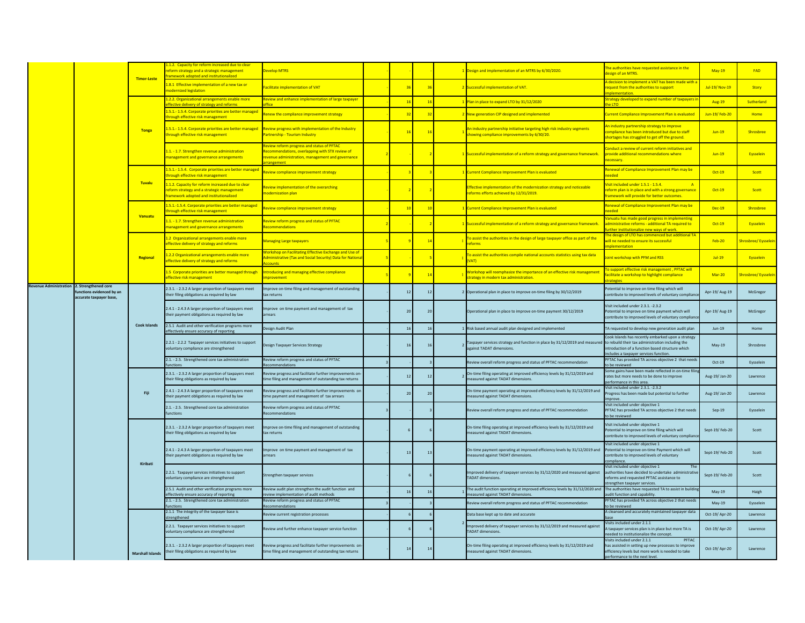|                       |                                                                            |                         | .2. Capacity for reform increased due to clea                                                                                           |                                                                                                                                                |       |    |                                                                                                                                                                |                                                                                                                                                                 |                |                   |
|-----------------------|----------------------------------------------------------------------------|-------------------------|-----------------------------------------------------------------------------------------------------------------------------------------|------------------------------------------------------------------------------------------------------------------------------------------------|-------|----|----------------------------------------------------------------------------------------------------------------------------------------------------------------|-----------------------------------------------------------------------------------------------------------------------------------------------------------------|----------------|-------------------|
|                       |                                                                            | <b>Timor-Leste</b>      | form strategy and a strategic management<br>mework adopted and institutionalized                                                        | <b>Develop MTRS</b>                                                                                                                            |       |    | Design and implementation of an MTRS by 6/30/2020.                                                                                                             | he authorities have requested assistance in the<br>esign of an MTRS.                                                                                            | <b>May-19</b>  | FAD               |
|                       |                                                                            |                         | <b>L.8.1 Effective implementation of a new tax or</b><br>nodernized legislation                                                         | acilitate implementation of VAT                                                                                                                | Rf    |    | Successful implementation of VAT.                                                                                                                              | decision to implement a VAT has been made with a<br>equest from the authorities to support<br>nlementation                                                      | Jul-19/Nov-19  | Story             |
|                       |                                                                            |                         | 2.2. Organizational arrangements enable more<br>ctive delivery of strategy and reforms                                                  | eview and enhance implementation of large taxpayer                                                                                             | $-16$ | 16 | Plan in place to expand LTO by 31/12/2020                                                                                                                      | rategy developed to expand number of taxpayers                                                                                                                  | <b>Aug-19</b>  | Sutherland        |
|                       |                                                                            |                         | 1.5.1.-1.5.4. Corporate priorities are better managed<br>hrough effective risk management                                               | enew the compliance improvement strategy                                                                                                       | 32    | 32 | New generation CIP designed and implemented                                                                                                                    | urrent Compliance Improvement Plan is evaluated                                                                                                                 | Jun-19/Feb-20  | <b>Home</b>       |
|                       |                                                                            | Tonga                   | 1.5.1.-1.5.4. Corporate priorities are better managed<br>hrough effective risk management                                               | eview progress with implementation of the Industry<br>artnership - Tourism Industry                                                            | 16    | 16 | In industry partnership initiative targeting high risk industry segments<br>showing compliance improvements by 6/30/20.                                        | In industry partnership strategy to improve<br>ompliance has been introduced but due to staff<br>hortages has struggled to get off the ground.                  | $Jun-19$       | Shrosbree         |
|                       |                                                                            |                         | L.1. - 1.7. Strengthen revenue administration<br>management and governance arrangements                                                 | eview reform progress and status of PFTAC<br>commendations, overlapping with STX review of<br>evenue administration, management and governance |       |    | Successful implementation of a reform strategy and governance framework.                                                                                       | onduct a review of current reform initiatives and<br>rovide additional recommendations where<br>ecessary.                                                       | $Jun-19$       | Eysselein         |
|                       |                                                                            |                         | 1.5.1.-1.5.4. Corporate priorities are better managed<br>hrough effective risk management                                               | view compliance improvement strategy                                                                                                           |       |    | rrent Compliance Improvement Plan is evaluated                                                                                                                 | enewal of Compliance Improvement Plan may be<br>hohos                                                                                                           | $Oct-19$       | Scott             |
|                       |                                                                            | Tuvalu                  | 1.1.2. Capacity for reform increased due to clear<br>eform strategy and a strategic management<br>amework adopted and institutionalized | view implementation of the overarching<br>odernization plan                                                                                    |       |    | ffective implementation of the modernization strategy and noticeable<br>eforms efforts achieved by 12/31/2019.                                                 | isit included under 1.5.1 - 1.5.4.<br>$\overline{A}$<br>eform plan is in place and with a strong governance<br>amework will provide for better outcomes.        | Oct-19         | Scott             |
|                       |                                                                            |                         | 1.5.1.-1.5.4. Corporate priorities are better managed<br>rough effective risk management                                                | eview compliance improvement strategy                                                                                                          | $-10$ | 10 | <b>Current Compliance Improvement Plan is evaluated</b>                                                                                                        | enewal of Compliance Improvement Plan may be                                                                                                                    | <b>Dec-19</b>  | Shrosbree         |
|                       |                                                                            | Vanuatu                 | L.1. - 1.7. Strengthen revenue administration<br>nanagement and governance arrangements                                                 | eview reform progress and status of PFTAC<br>ecommendations                                                                                    |       |    | Successful implementation of a reform strategy and governance framework.                                                                                       | anuatu has made good progress in implementin<br>Iministrative reforms - additional TA required to<br>ther institutionalize new ways of work                     | $Oct-19$       | Eysselein         |
|                       |                                                                            |                         | 1.2 Organizational arrangements enable more<br>ffective delivery of strategy and reforms                                                | <b>Janaging Large taxpayers</b>                                                                                                                |       |    | To assist the authorities in the design of large taxpayer office as part of the<br>eforms                                                                      | ne design of LTO has commenced but additional TA<br>vill ne needed to ensure its successful<br><b>nlementation</b>                                              | <b>Feb-20</b>  | hrosbree/Evsselei |
|                       |                                                                            | Regional                | 1.2.2 Organizational arrangements enable more<br>ffective delivery of strategy and reforms                                              | <b>Orkshop on Facilitating Effective Exchange and Use o</b><br>ministrative (Tax and Social Security) Data for Nation<br><b>Counts</b>         |       |    | To assist the authorities compile national accounts statistics using tax data<br><b>VATI</b>                                                                   | int workshop with PFM and RSS                                                                                                                                   | $Jul-19$       | Eysselein         |
|                       |                                                                            |                         | 1.5 Corporate priorities are better managed through<br>ffective risk management                                                         | ntroducing and managing effective compliance<br>nrovement                                                                                      |       | 14 | Workshop will reemphasize the importance of an effective risk management<br>strategy in modern tax administration.                                             | o support effective risk management, PFTAC will<br>acilitate a workshop to highlight compliance<br><b>Pategies</b>                                              | Mar-20         | hrosbree/Eysselei |
| evenue Administration | 2. Strengthened core<br>nctions evidenced by an<br>accurate taxpayer base, |                         | 2.3.1. - 2.3.2 A larger proportion of taxpayers meet<br>their filing obligations as required by law                                     | nprove on-time filing and management of outstanding<br>ax returns                                                                              | 12    | 12 | Operational plan in place to improve on-time filing by 30/12/2019                                                                                              | otential to improve on time filing which will<br>ontribute to improved levels of voluntary compli-                                                              | Apr-19/ Aug-19 | McGregor          |
|                       |                                                                            | <b>Cook Islands</b>     | 2.4.1 - 2.4.3 A larger proportion of taxpayers meet<br>their payment obligations as required by law                                     | prove on time payment and management of tax<br>rrears                                                                                          | 20    | 20 | Operational plan in place to improve on-time payment 30/12/2019                                                                                                | isit included under 2.3.1. -2.3.2<br>otential to improve on time payment which will<br>ontribute to improved levels of voluntary complia                        | Apr-19/ Aug-19 | McGregor          |
|                       |                                                                            |                         | 2.5.1 Audit and other verification programs more<br>fectively ensure accuracy of reporting                                              | esign Audit Plan                                                                                                                               |       | 16 | Risk based annual audit plan designed and implemented                                                                                                          | TA requested to develop new generation audit plan                                                                                                               | $Jun-19$       | Home              |
|                       |                                                                            |                         | 2.2.1 - 2.2.2 Taxpayer services initiatives to support<br>voluntary compliance are strengthened                                         | esign Taxpayer Services Strategy                                                                                                               |       | 16 | axpayer services strategy and function in place by 31/12/2019 and measured to rebuild their tax administration including the<br>eainst TADAT dimensions        | ook Islands has recently embarked upon a strategy<br>troduction of a function based structure which<br>cludes a taxpayer services function                      | May-19         | Shrosbree         |
|                       |                                                                            |                         | 2.1. - 2.5. Strengthened core tax administration                                                                                        | eview reform progress and status of PFTAC                                                                                                      |       |    | eview overall reform progress and status of PFTAC recommendation                                                                                               | FTAC has provided TA across objective 2 that need<br>be reviewed                                                                                                | $Oct-19$       | Eysselein         |
|                       |                                                                            | Fiii                    | 2.3.1. - 2.3.2 A larger proportion of taxpayers meet<br>their filing obligations as required by law                                     | eview progress and facilitate further improvements on<br>me filing and management of outstanding tax returns                                   | 12    | 12 | In-time filing operating at improved efficiency levels by 31/12/2019 and<br>reasured against TADAT dimensions.                                                 | ome gains have been made reflected in on-time<br>ates but more needs to be done to improve<br>erformance in this area.                                          | Aug-19/Jan-20  | Lawrence          |
|                       |                                                                            |                         | 2.4.1 - 2.4.3 A larger proportion of taxpayers meet<br>their payment obligations as required by law                                     | teview progress and facilitate further improvements or<br>me payment and management of tax arrears                                             | 20    | 20 | On-time payment operating at improved efficiency levels by 31/12/2019 and<br>neasured against TADAT dimensions.                                                | isit included under 2.3.1. -2.3.2<br>rogress has been made but potential to further                                                                             | Aug-19/ Jan-20 | Lawrence          |
|                       |                                                                            |                         | 2.1. - 2.5. Strengthened core tax administration<br>unctions                                                                            | Review reform progress and status of PFTAC<br>ecommendations                                                                                   |       |    | Review overall reform progress and status of PFTAC recommendation                                                                                              | /isit included under objective 1<br>PFTAC has provided TA across objective 2 that need:<br>be reviewed                                                          | $Sep-19$       | Eysselein         |
|                       |                                                                            |                         | 2.3.1. - 2.3.2 A larger proportion of taxpayers meet<br>their filing obligations as required by law                                     | mprove on-time filing and management of outstanding<br>tax returns                                                                             |       |    | On-time filing operating at improved efficiency levels by 31/12/2019 and<br>neasured against TADAT dimensions.                                                 | isit included under objective 1<br>otential to improve on time filing which will<br>ontribute to improved levels of voluntary compliar                          | Sept-19/Feb-20 | Scott             |
|                       |                                                                            |                         | 2.4.1 - 2.4.3 A larger proportion of taxpayers meet<br>their payment obligations as required by law                                     | mprove on time payment and management of tax<br><b>rears</b>                                                                                   | 13    | 13 | On-time payment operating at improved efficiency levels by 31/12/2019 and Potential to improve on-time Payment which will<br>easured against TADAT dimensions. | isit included under objective 1<br>ontribute to improved levels of voluntary<br>mpliance.                                                                       | Sept-19/Feb-20 | Scott             |
|                       |                                                                            | Kiribati                | 2.2.1. Taxpayer services initiatives to support<br>voluntary compliance are strengthened                                                | Strengthen taxpayer services                                                                                                                   |       |    | proved delivery of taxpayer services by 31/12/2020 and measured against<br><b>FADAT dimensions.</b>                                                            | isit included under objective 1<br>uthorities have decided to undertake administrativ<br>eforms and requested PFTAC assistance to<br>rengthen taxpayer services | Sept-19/Feb-20 | Scott             |
|                       |                                                                            |                         | 2.5.1 Audit and other verification programs more<br>ffectively ensure accuracy of reportine                                             | eview audit plan strengthen the audit function and<br>view implementation of audit methods                                                     |       |    | he audit function operating at improved efficiency levels by 31/12/2020 and<br>easured against TADAT dimension                                                 | The authorities have requested TA to assist in build<br>udit function and capability                                                                            | $May-19$       | Haigh             |
|                       |                                                                            |                         | 2.1. - 2.5. Strengthened core tax administration                                                                                        | eview reform progress and status of PFTAC<br>ommendations                                                                                      |       |    | eview overall reform progress and status of PFTAC recommendation                                                                                               | PFTAC has provided TA across objective 2 that need                                                                                                              | $Mav-19$       | Eysselein         |
|                       |                                                                            |                         | 2.1.1 The integrity of the taxpayer base is                                                                                             | eview current registration processes                                                                                                           |       |    | Data base kept up to date and accurate                                                                                                                         | be reviewed<br>A cleansed and accurately maintained taxpayer data                                                                                               | Oct-19/Apr-20  | Lawrence          |
|                       |                                                                            |                         | rengthened<br>2.2.1. Taxpayer services initiatives to support                                                                           |                                                                                                                                                |       |    | aproved delivery of taxpayer services by 31/12/2019 and measured against                                                                                       | isits included under 2.1.1                                                                                                                                      |                |                   |
|                       |                                                                            |                         | roluntary compliance are strengthened                                                                                                   | eview and further enhance taxpayer service function                                                                                            |       |    | <b>ADAT</b> dimensi                                                                                                                                            | taxpayer services plan is in place but more TA is<br>eded to institutionalize the concept<br>isits included under 2.1.1<br>PFTAC                                | Oct-19/ Apr-20 | Lawrence          |
|                       |                                                                            | <b>Marshall Islands</b> | 2.3.1. - 2.3.2 A larger proportion of taxpayers meet<br>their filing obligations as required by law                                     | eview progress and facilitate further improvements on-<br>me filing and management of outstanding tax returns                                  | 14    | 14 | On-time filing operating at improved efficiency levels by 31/12/2019 and<br>easured against TADAT dimensions.                                                  | as assisted in setting up new processes to improve<br>fficiency levels but more work is needed to take<br>performance to the next level.                        | Oct-19/ Apr-20 | Lawrence          |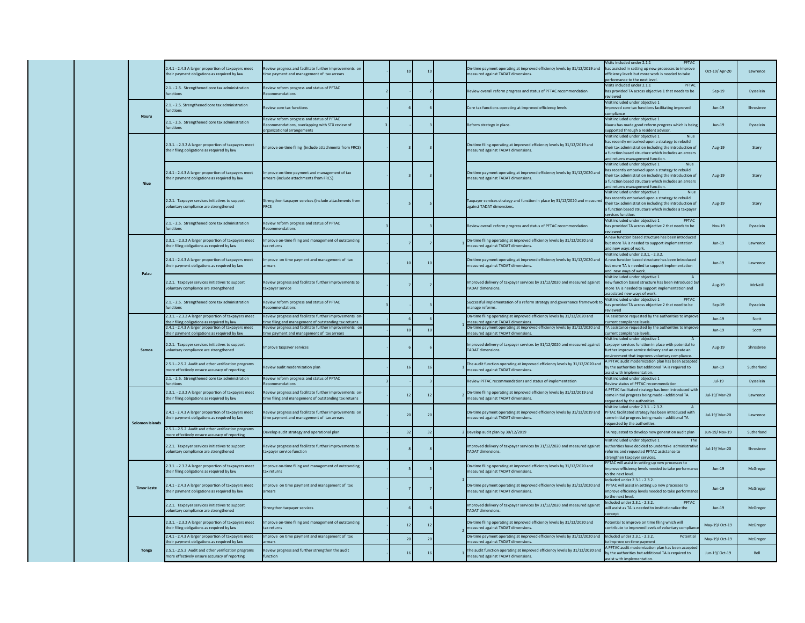|  |  |                    | 2.4.1 - 2.4.3 A larger proportion of taxpayers meet<br>eir payment obligations as required by law     | eview progress and facilitate further improvements of<br>ne payment and management of tax arrears                       | 10 | 10             | On-time payment operating at improved efficiency levels by 31/12/2019 and<br>easured against TADAT dimensions.    | isits included under 2.1.1<br>PFTAC<br>has assisted in setting up new processes to improve<br>fficiency levels but more work is needed to take<br>rformance to the next leve                                                         | Oct-19/Apr-20        | Lawrence   |
|--|--|--------------------|-------------------------------------------------------------------------------------------------------|-------------------------------------------------------------------------------------------------------------------------|----|----------------|-------------------------------------------------------------------------------------------------------------------|--------------------------------------------------------------------------------------------------------------------------------------------------------------------------------------------------------------------------------------|----------------------|------------|
|  |  |                    | 2.1. - 2.5. Strengthened core tax administration<br><b>inctions</b>                                   | eview reform progress and status of PFTAC<br>commendation                                                               |    |                | eview overall reform progress and status of PFTAC recommendation                                                  | lisits included under 2.1.1<br>PETAC<br>as provided TA across objective 1 that needs to be<br>viewed                                                                                                                                 | $Sep-19$             | Eysselein  |
|  |  | <b>Nauru</b>       | 2.1. - 2.5. Strengthened core tax administration<br>nctions                                           | view core tax functions                                                                                                 |    |                | Core tax functions operating at improved efficiency levels                                                        | /isit included under objective 1<br>nproved core tax functions facilitating improved<br>mpliance                                                                                                                                     | $Jun-19$             | Shrosbree  |
|  |  |                    | 2.1. - 2.5. Strengthened core tax administration<br>nctions                                           | eview reform progress and status of PFTAC<br>commendations, overlapping with STX review of<br>ganizational arrangements |    |                | eform strategy in place.                                                                                          | isit included under objective 1<br>auru has made good reform progress which is bein<br>oported through a resident advisor                                                                                                            | $Jun-19$             | Eysselein  |
|  |  |                    | 2.3.1. - 2.3.2 A larger proportion of taxpayers meet<br>heir filing obligations as required by law    | norove on-time filing (include attachments from FRCS)                                                                   |    |                | On-time filing operating at improved efficiency levels by 31/12/2019 and<br>neasured against TADAT dimensions.    | isit included under objective 1<br>as recently embarked upon a strategy to rebuild<br>heir tax administration including the introduction of<br>function based structure which includes an arrears<br>nd returns management functior  | Aug-19               | Story      |
|  |  | <b>Niue</b>        | 2.4.1 - 2.4.3 A larger proportion of taxpayers meet<br>heir payment obligations as required by law    | mprove on-time payment and management of tax<br>rears (include attachments from FRCS)                                   |    |                | On-time payment operating at improved efficiency levels by 31/12/2020 and<br>easured against TADAT dimensions.    | lisit included under objective 1<br>as recently embarked upon a strategy to rebuild<br>eir tax administration including the introduction of<br>function based structure which includes an arrears<br>nd returns management function. | Aug-19               | Story      |
|  |  |                    | 2.2.1. Taxpayer services initiatives to support<br>voluntary compliance are strengthened              | Strengthen taxpayer services (include attachments from<br><b>FRCS</b>                                                   |    |                | Taxpayer services strategy and function in place by 31/12/2020 and measured<br>seainst TADAT dimensions.          | isit included under objective 1<br>as recently embarked upon a strategy to rebuild<br>heir tax administration including the introduction of<br>function based structure which includes a taxpaye<br>ervices function.                | Aug-19               | Story      |
|  |  |                    | 2.1. - 2.5. Strengthened core tax administration<br><b>nctions</b>                                    | eview reform progress and status of PFTAC<br>commendation                                                               |    |                | view overall reform progress and status of PFTAC recommendation                                                   | /isit included under objective 1<br>PETAC<br>as provided TA across objective 2 that needs to be<br>viewed                                                                                                                            | <b>Nov-19</b>        | Eysselein  |
|  |  | Palau              | 2.3.1. - 2.3.2 A larger proportion of taxpayers meet<br>heir filing obligations as required by law    | mprove on-time filing and management of outstanding<br>x returns                                                        |    |                | On-time filing operating at improved efficiency levels by 31/12/2020 and<br>easured against TADAT dimensions      | new function based structure has been introduc<br>ut more TA is needed to support implementation<br>nd new ways of work                                                                                                              | $Jun-19$             | Lawrence   |
|  |  |                    | 2.4.1 - 2.4.3 A larger proportion of taxpayers meet<br>eir payment obligations as required by law     | mprove on time payment and management of tax<br><b>rears</b>                                                            | 10 | 10             | On-time payment operating at improved efficiency levels by 31/12/2020 and<br>easured against TADAT dimensions.    | /isit included under 2,3,1, - 2.3.2.<br>A new function based structure has been introduced<br>ut more TA is needed to support implementation<br>nd new ways of work.                                                                 | $Jun-19$             | Lawrence   |
|  |  |                    | 2.2.1. Taxpayer services initiatives to support<br>roluntary compliance are strengthened              | leview progress and facilitate further improvements to<br>taxpayer service                                              |    |                | mproved delivery of taxpayer services by 31/12/2020 and measured against<br><b>TADAT dimensions.</b>              | isit included under objective 1<br>ew function based structure has been introduced by<br>ore TA is needed to support implementation and<br>sociated new ways of work                                                                 | Aug-19               | McNeill    |
|  |  |                    | 2.1. - 2.5. Strengthened core tax administration<br><b>unctions</b>                                   | Review reform progress and status of PFTAC<br>commendations                                                             |    |                | Successful implementation of a reform strategy and governance framework to<br>anage reforms.                      | /isit included under objective 1<br><b>PFTAC</b><br>as provided TA across objective 2 that need to be<br>viewed                                                                                                                      | $Sep-19$             | Eysselein  |
|  |  |                    | 2.3.1. - 2.3.2 A larger proportion of taxpayers meet<br>eir filing obligations as required by law     | eview progress and facilitate further improvements of<br>ne filing and management of outstanding tax returns            |    |                | On-time filing operating at improved efficiency levels by 31/12/2020 and<br>asured against TADAT dimens           | TA assistance requested by the authorities to improv<br>rent compliance levels                                                                                                                                                       | $Jun-19$             | Scott      |
|  |  | Samoa              | 2.4.1 - 2.4.3 A larger proportion of taxpayers meet<br>eir payment obligations as required by law     | leview progress and facilitate further improvements or<br>ne payment and management of tax arrears                      | 10 | 10             | On-time payment operating at improved efficiency levels by 31/12/2020 and<br>easured against TADAT dimensio       | TA assistance requested by the authorities to improv<br>urrent compliance levels.                                                                                                                                                    | $Jun-19$             | Scott      |
|  |  |                    | 2.2.1. Taxpayer services initiatives to support<br>bluntary compliance are strengthened               | nprove taxpayer services                                                                                                |    |                | mproved delivery of taxpayer services by 31/12/2020 and measured against<br><b>ADAT dimensions</b>                | isit included under objective 1<br>taxpayer services function in place with potential to<br>rther improve service delivery and an create an<br>conment that improves voluntary compliance                                            | Aug-19               | Shrosbree  |
|  |  |                    | 2.5.1.-. 2.5.2 Audit and other verification programs<br>nore effectively ensure accuracy of reporting | view audit modernization plan                                                                                           | 16 | 16             | The audit function operating at improved efficiency levels by 31/12/2020 and<br>neasured against TADAT dimensions | A PFTAC audit modernization plan has been accepte<br>w the authorities but additional TA is required to<br>sist with implementation                                                                                                  | $Jun-19$             | Sutherland |
|  |  |                    | 2.1. - 2.5. Strengthened core tax administration<br>iction                                            | eview reform progress and status of PFTAC<br>ommendatio                                                                 |    |                | eview PFTAC recommendations and status of implementation                                                          | risit included under objective 1<br>view status of PFTAC recommend                                                                                                                                                                   | $Jul-19$             | Eysselein  |
|  |  | Solomon Islands    | 2.3.1. - 2.3.2 A larger proportion of taxpayers meet<br>their filing obligations as required by law   | eview progress and facilitate further improvements of<br>me filing and management of outstanding tax returns            | 12 | 12             | On-time filing operating at improved efficiency levels by 31/12/2019 and<br>neasured against TADAT dimensions.    | A PFTAC facilitated strategy has been introduced wit<br>ome initial progress being made - additional TA<br>uested by the authorities                                                                                                 | <b>Jul-19/Mar-20</b> | Lawrence   |
|  |  |                    | 2.4.1 - 2.4.3 A larger proportion of taxpayers meet<br>heir payment obligations as required by law    | eview progress and facilitate further improvements or<br>me payment and management of tax arrears                       | 20 | 20             | On-time payment operating at improved efficiency levels by 31/12/2019 and<br>easured against TADAT dimensions.    | /isit included under 2.3.1. - 2.3.2.<br>PFTAC facilitated strategy has been introduced with<br>ome initial progress being made - additional TA<br>uested by the authorities.                                                         | Jul-19/ Mar-20       | Lawrence   |
|  |  |                    | 2.5.1.-.2.5.2 Audit and other verification programs<br>ore effectively ensure accuracy of reporting   | evelop audit strategy and operational plan                                                                              | 32 | 32             | Develop audit plan by 30/12/2019                                                                                  | A requested to develop new generation audit plan                                                                                                                                                                                     | Jun-19/Nov-19        | Sutherland |
|  |  |                    | 2.2.1. Taxpayer services initiatives to support<br>roluntary compliance are strengthened              | eview progress and facilitate further improvements to<br>axpayer service function                                       |    |                | nproved delivery of taxpayer services by 31/12/2020 and measured against<br><b>ADAT dimensions.</b>               | isit included under objective 1<br>uthorities have decided to undertake administrativ<br>forms and requested PFTAC assistance to<br>rengthen taxpayer services.                                                                      | Jul-19/ Mar-20       | Shrosbree  |
|  |  | <b>Timor Leste</b> | 2.3.1. - 2.3.2 A larger proportion of taxpayers meet<br>heir filing obligations as required by law    | mprove on-time filing and management of outstanding<br>x returns                                                        |    |                | In-time filing operating at improved efficiency levels by 31/12/2020 and<br>easured against TADAT dimensions      | PFTAC will assist in setting up new processes to<br>nprove efficiency levels needed to take performand<br>the next level.                                                                                                            | $Jun-19$             | McGregor   |
|  |  |                    | 2.4.1 - 2.4.3 A larger proportion of taxpayers meet<br>heir payment obligations as required by law    | nprove on time payment and management of tax<br>rrears                                                                  |    |                | On-time payment operating at improved efficiency levels by 31/12/2020 and<br>neasured against TADAT dimensions.   | ncluded under 2.3.1 - 2.3.2.<br>PFTAC will assist in setting up new processes to<br>nprove efficiency levels needed to take perform<br>o the next level                                                                              | $Jun-19$             | McGregor   |
|  |  |                    | 2.2.1. Taxpayer services initiatives to support<br>oluntary compliance are strengthened               | strengthen taxpayer services                                                                                            |    |                | nproved delivery of taxpayer services by 31/12/2020 and measured against<br><b>FADAT dimensions</b>               | ncluded under 2.3.1 - 2.3.2.<br>PFTAC<br>vill assist as TA is needed to institutionalize the<br>oncept                                                                                                                               | $lum-19$             | McGregor   |
|  |  |                    | 2.3.1. - 2.3.2 A larger proportion of taxpayers meet<br>heir filing obligations as required by law    | nprove on-time filing and management of outstanding<br>ax returns                                                       | 12 | 12             | In-time filing operating at improved efficiency levels by 31/12/2020 and<br>easured against TADAT dimensions      | otential to improve on time filing which will<br>intribute to improved levels of voluntary compliar                                                                                                                                  | May-19/ Oct-19       | McGregor   |
|  |  | Tonga              | 2.4.1 - 2.4.3 A larger proportion of taxpayers meet<br>ir payment obligations as required by lar      | morove on time payment and management of tax                                                                            | 20 | $\overline{2}$ | On-time payment operating at improved efficiency levels by 31/12/2020 and<br>red against TADAT dime               | ncluded under 2.3.1 - 2.3.2.<br>Potentia<br>improve on-time paymen                                                                                                                                                                   | May-19/ Oct-19       | McGregor   |
|  |  |                    | 2.5.1.-. 2.5.2 Audit and other verification programs<br>nore effectively ensure accuracy of reporting | eview progress and further strengthen the audit<br><b>nction</b>                                                        | 16 | 16             | The audit function operating at improved efficiency levels by 31/12/2020 and<br>easured against TADAT dimensions. | PFTAC audit modernization plan has been accepte<br>y the authorities but additional TA is required to<br>sist with implementation                                                                                                    | Jun-19/ Oct-19       | Bell       |